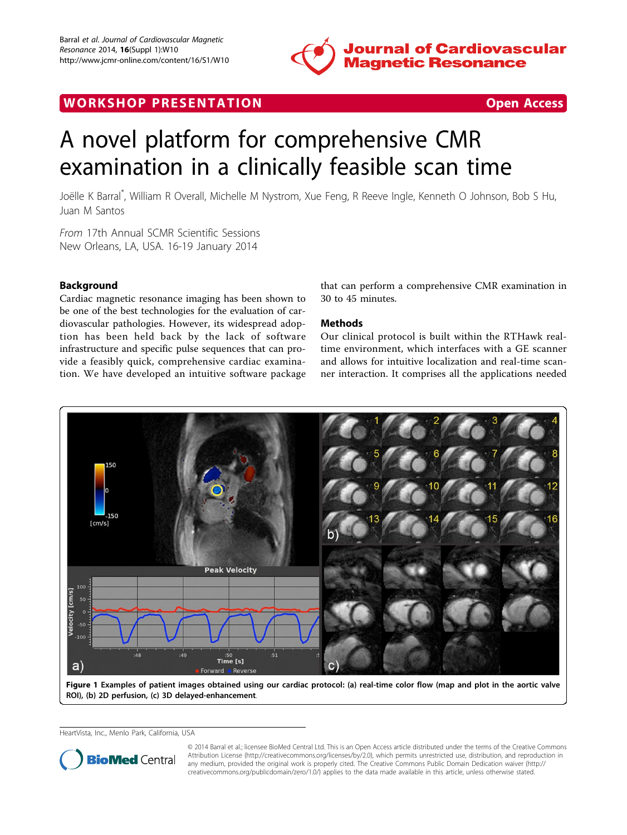

## <span id="page-0-0"></span>WORK SHOP PRESENTATION **OPEN ACCESS**

# A novel platform for comprehensive CMR examination in a clinically feasible scan time

Joëlle K Barral\* , William R Overall, Michelle M Nystrom, Xue Feng, R Reeve Ingle, Kenneth O Johnson, Bob S Hu, Juan M Santos

From 17th Annual SCMR Scientific Sessions New Orleans, LA, USA. 16-19 January 2014

### Background

Cardiac magnetic resonance imaging has been shown to be one of the best technologies for the evaluation of cardiovascular pathologies. However, its widespread adoption has been held back by the lack of software infrastructure and specific pulse sequences that can provide a feasibly quick, comprehensive cardiac examination. We have developed an intuitive software package that can perform a comprehensive CMR examination in 30 to 45 minutes.

#### Methods

Our clinical protocol is built within the RTHawk realtime environment, which interfaces with a GE scanner and allows for intuitive localization and real-time scanner interaction. It comprises all the applications needed



Figure 1 Examples of patient images obtained using our cardiac protocol: (a) real-time color flow (map and plot in the aortic valve ROI), (b) 2D perfusion, (c) 3D delayed-enhancement.

HeartVista, Inc., Menlo Park, California, USA



© 2014 Barral et al.; licensee BioMed Central Ltd. This is an Open Access article distributed under the terms of the Creative Commons Attribution License [\(http://creativecommons.org/licenses/by/2.0](http://creativecommons.org/licenses/by/2.0)), which permits unrestricted use, distribution, and reproduction in any medium, provided the original work is properly cited. The Creative Commons Public Domain Dedication waiver [\(http://](http://creativecommons.org/publicdomain/zero/1.0/) [creativecommons.org/publicdomain/zero/1.0/](http://creativecommons.org/publicdomain/zero/1.0/)) applies to the data made available in this article, unless otherwise stated.